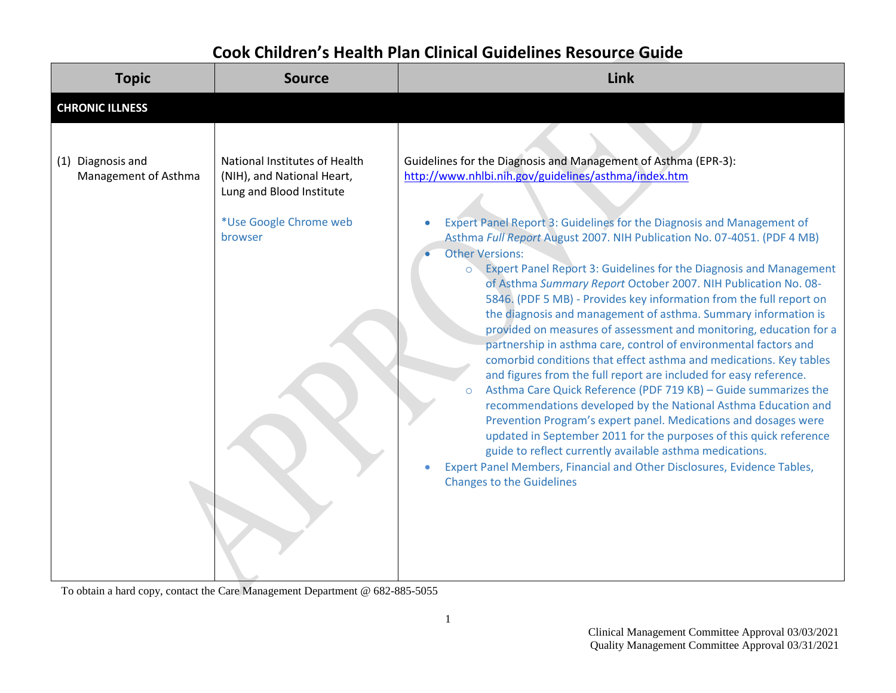## **Cook Children's Health Plan Clinical Guidelines Resource Guide**

| <b>Topic</b>                              | <b>Source</b>                                                                           | Link                                                                                                                                                                                                                                                                                                                                                                                                                                                                                                                                                                                                                                                                                                                                                                                                                                                                                                                                                                                                                                                                                                                                                                                                        |
|-------------------------------------------|-----------------------------------------------------------------------------------------|-------------------------------------------------------------------------------------------------------------------------------------------------------------------------------------------------------------------------------------------------------------------------------------------------------------------------------------------------------------------------------------------------------------------------------------------------------------------------------------------------------------------------------------------------------------------------------------------------------------------------------------------------------------------------------------------------------------------------------------------------------------------------------------------------------------------------------------------------------------------------------------------------------------------------------------------------------------------------------------------------------------------------------------------------------------------------------------------------------------------------------------------------------------------------------------------------------------|
| <b>CHRONIC ILLNESS</b>                    |                                                                                         |                                                                                                                                                                                                                                                                                                                                                                                                                                                                                                                                                                                                                                                                                                                                                                                                                                                                                                                                                                                                                                                                                                                                                                                                             |
| (1) Diagnosis and<br>Management of Asthma | National Institutes of Health<br>(NIH), and National Heart,<br>Lung and Blood Institute | Guidelines for the Diagnosis and Management of Asthma (EPR-3):<br>http://www.nhlbi.nih.gov/guidelines/asthma/index.htm                                                                                                                                                                                                                                                                                                                                                                                                                                                                                                                                                                                                                                                                                                                                                                                                                                                                                                                                                                                                                                                                                      |
|                                           | *Use Google Chrome web<br>browser                                                       | Expert Panel Report 3: Guidelines for the Diagnosis and Management of<br>Asthma Full Report August 2007. NIH Publication No. 07-4051. (PDF 4 MB)<br><b>Other Versions:</b><br>o Expert Panel Report 3: Guidelines for the Diagnosis and Management<br>of Asthma Summary Report October 2007. NIH Publication No. 08-<br>5846. (PDF 5 MB) - Provides key information from the full report on<br>the diagnosis and management of asthma. Summary information is<br>provided on measures of assessment and monitoring, education for a<br>partnership in asthma care, control of environmental factors and<br>comorbid conditions that effect asthma and medications. Key tables<br>and figures from the full report are included for easy reference.<br>Asthma Care Quick Reference (PDF 719 KB) - Guide summarizes the<br>recommendations developed by the National Asthma Education and<br>Prevention Program's expert panel. Medications and dosages were<br>updated in September 2011 for the purposes of this quick reference<br>guide to reflect currently available asthma medications.<br>Expert Panel Members, Financial and Other Disclosures, Evidence Tables,<br><b>Changes to the Guidelines</b> |

To obtain a hard copy, contact the Care Management Department @ 682-885-5055